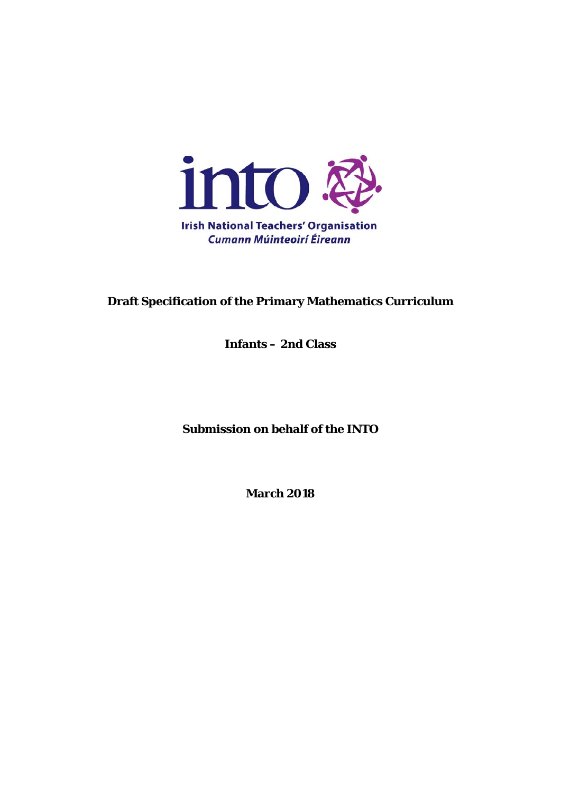

### **Draft Specification of the Primary Mathematics Curriculum**

**Infants – 2nd Class**

**Submission on behalf of the INTO**

**March 2018**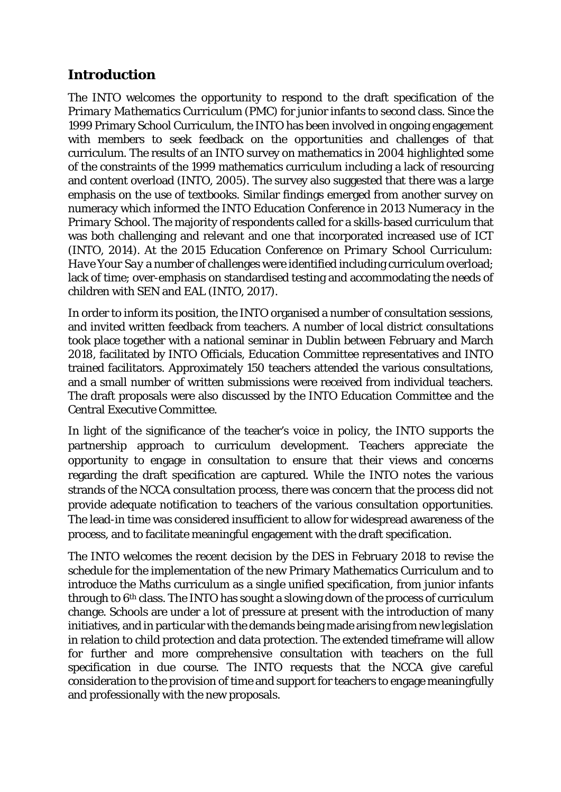## **Introduction**

The INTO welcomes the opportunity to respond to the draft specification of the *Primary Mathematics Curriculum (PMC)* for junior infants to second class. Since the 1999 Primary School Curriculum, the INTO has been involved in ongoing engagement with members to seek feedback on the opportunities and challenges of that curriculum. The results of an INTO survey on mathematics in 2004 highlighted some of the constraints of the 1999 mathematics curriculum including a lack of resourcing and content overload (INTO, 2005). The survey also suggested that there was a large emphasis on the use of textbooks. Similar findings emerged from another survey on numeracy which informed the INTO Education Conference in 2013 *Numeracy in the Primary School*. The majority of respondents called for a skills-based curriculum that was both challenging and relevant and one that incorporated increased use of ICT (INTO, 2014). At the 2015 Education Conference on *Primary School Curriculum: Have Your Say* a number of challenges were identified including curriculum overload; lack of time; over-emphasis on standardised testing and accommodating the needs of children with SEN and EAL (INTO, 2017).

In order to inform its position, the INTO organised a number of consultation sessions, and invited written feedback from teachers. A number of local district consultations took place together with a national seminar in Dublin between February and March 2018, facilitated by INTO Officials, Education Committee representatives and INTO trained facilitators. Approximately 150 teachers attended the various consultations, and a small number of written submissions were received from individual teachers. The draft proposals were also discussed by the INTO Education Committee and the Central Executive Committee.

In light of the significance of the teacher's voice in policy, the INTO supports the partnership approach to curriculum development. Teachers appreciate the opportunity to engage in consultation to ensure that their views and concerns regarding the draft specification are captured. While the INTO notes the various strands of the NCCA consultation process, there was concern that the process did not provide adequate notification to teachers of the various consultation opportunities. The lead-in time was considered insufficient to allow for widespread awareness of the process, and to facilitate meaningful engagement with the draft specification.

The INTO welcomes the recent decision by the DES in February 2018 to revise the schedule for the implementation of the new Primary Mathematics Curriculum and to introduce the Maths curriculum as a single unified specification, from junior infants through to 6th class. The INTO has sought a slowing down of the process of curriculum change. Schools are under a lot of pressure at present with the introduction of many initiatives, and in particular with the demands being made arising from new legislation in relation to child protection and data protection. The extended timeframe will allow for further and more comprehensive consultation with teachers on the full specification in due course. The INTO requests that the NCCA give careful consideration to the provision of time and support for teachers to engage meaningfully and professionally with the new proposals.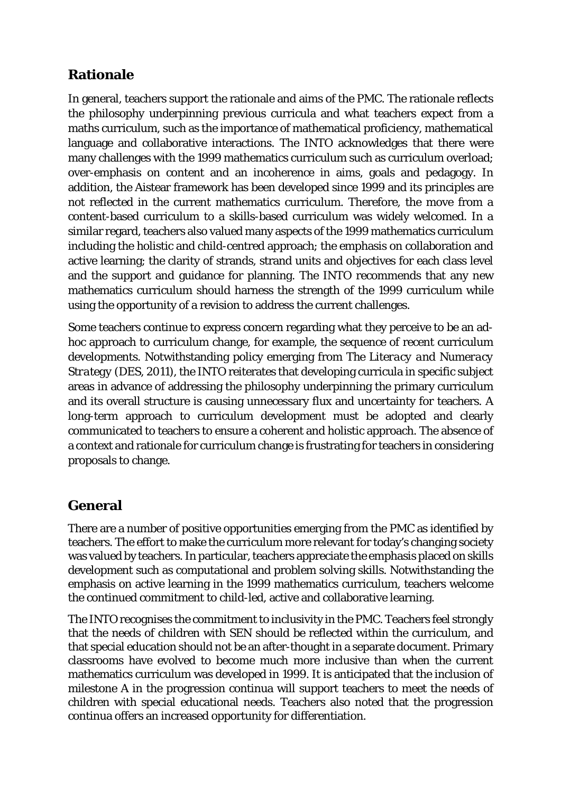## **Rationale**

In general, teachers support the rationale and aims of the PMC. The rationale reflects the philosophy underpinning previous curricula and what teachers expect from a maths curriculum, such as the importance of mathematical proficiency, mathematical language and collaborative interactions. The INTO acknowledges that there were many challenges with the 1999 mathematics curriculum such as curriculum overload; over-emphasis on content and an incoherence in aims, goals and pedagogy. In addition, the Aistear framework has been developed since 1999 and its principles are not reflected in the current mathematics curriculum. Therefore, the move from a content-based curriculum to a skills-based curriculum was widely welcomed. In a similar regard, teachers also valued many aspects of the 1999 mathematics curriculum including the holistic and child-centred approach; the emphasis on collaboration and active learning; the clarity of strands, strand units and objectives for each class level and the support and guidance for planning. The INTO recommends that any new mathematics curriculum should harness the strength of the 1999 curriculum while using the opportunity of a revision to address the current challenges.

Some teachers continue to express concern regarding what they perceive to be an adhoc approach to curriculum change, for example, the sequence of recent curriculum developments. Notwithstanding policy emerging from *The Literacy and Numeracy Strategy* (DES, 2011), the INTO reiterates that developing curricula in specific subject areas in advance of addressing the philosophy underpinning the primary curriculum and its overall structure is causing unnecessary flux and uncertainty for teachers. A long-term approach to curriculum development must be adopted and clearly communicated to teachers to ensure a coherent and holistic approach. The absence of a context and rationale for curriculum change is frustrating for teachers in considering proposals to change.

## **General**

There are a number of positive opportunities emerging from the PMC as identified by teachers. The effort to make the curriculum more relevant for today's changing society was valued by teachers. In particular, teachers appreciate the emphasis placed on skills development such as computational and problem solving skills. Notwithstanding the emphasis on active learning in the 1999 mathematics curriculum, teachers welcome the continued commitment to child-led, active and collaborative learning.

The INTO recognises the commitment to inclusivity in the PMC. Teachers feel strongly that the needs of children with SEN should be reflected within the curriculum, and that special education should not be an after-thought in a separate document. Primary classrooms have evolved to become much more inclusive than when the current mathematics curriculum was developed in 1999. It is anticipated that the inclusion of milestone A in the progression continua will support teachers to meet the needs of children with special educational needs. Teachers also noted that the progression continua offers an increased opportunity for differentiation.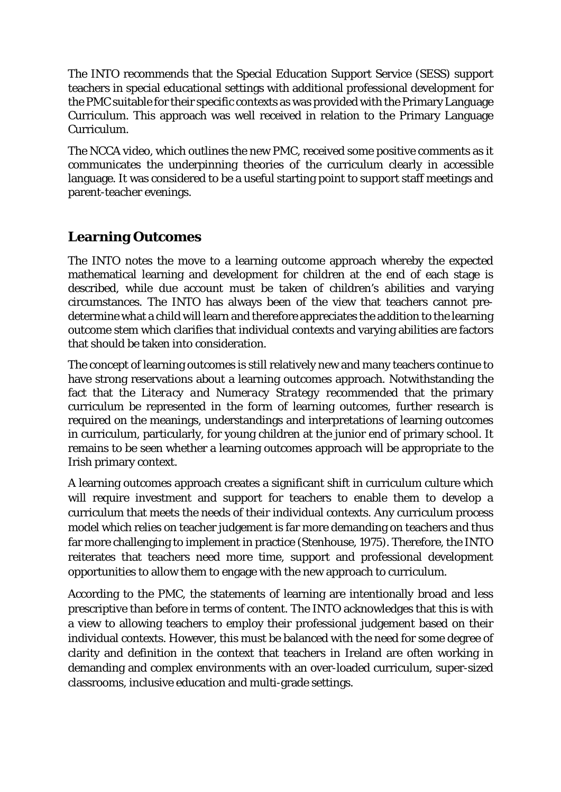The INTO recommends that the Special Education Support Service (SESS) support teachers in special educational settings with additional professional development for the PMC suitable for their specific contexts as was provided with the Primary Language Curriculum. This approach was well received in relation to the Primary Language Curriculum.

The NCCA video, which outlines the new PMC, received some positive comments as it communicates the underpinning theories of the curriculum clearly in accessible language. It was considered to be a useful starting point to support staff meetings and parent-teacher evenings.

## **Learning Outcomes**

The INTO notes the move to a learning outcome approach whereby the expected mathematical learning and development for children at the end of each stage is described, while due account must be taken of children's abilities and varying circumstances. The INTO has always been of the view that teachers cannot predetermine what a child will learn and therefore appreciates the addition to the learning outcome stem which clarifies that individual contexts and varying abilities are factors that should be taken into consideration.

The concept of learning outcomes is still relatively new and many teachers continue to have strong reservations about a learning outcomes approach. Notwithstanding the fact that the *Literacy and Numeracy Strategy* recommended that the primary curriculum be represented in the form of learning outcomes, further research is required on the meanings, understandings and interpretations of learning outcomes in curriculum, particularly, for young children at the junior end of primary school. It remains to be seen whether a learning outcomes approach will be appropriate to the Irish primary context.

A learning outcomes approach creates a significant shift in curriculum culture which will require investment and support for teachers to enable them to develop a curriculum that meets the needs of their individual contexts. Any curriculum process model which relies on teacher judgement is far more demanding on teachers and thus far more challenging to implement in practice (Stenhouse, 1975). Therefore, the INTO reiterates that teachers need more time, support and professional development opportunities to allow them to engage with the new approach to curriculum.

According to the PMC, the statements of learning are intentionally broad and less prescriptive than before in terms of content. The INTO acknowledges that this is with a view to allowing teachers to employ their professional judgement based on their individual contexts. However, this must be balanced with the need for some degree of clarity and definition in the context that teachers in Ireland are often working in demanding and complex environments with an over-loaded curriculum, super-sized classrooms, inclusive education and multi-grade settings.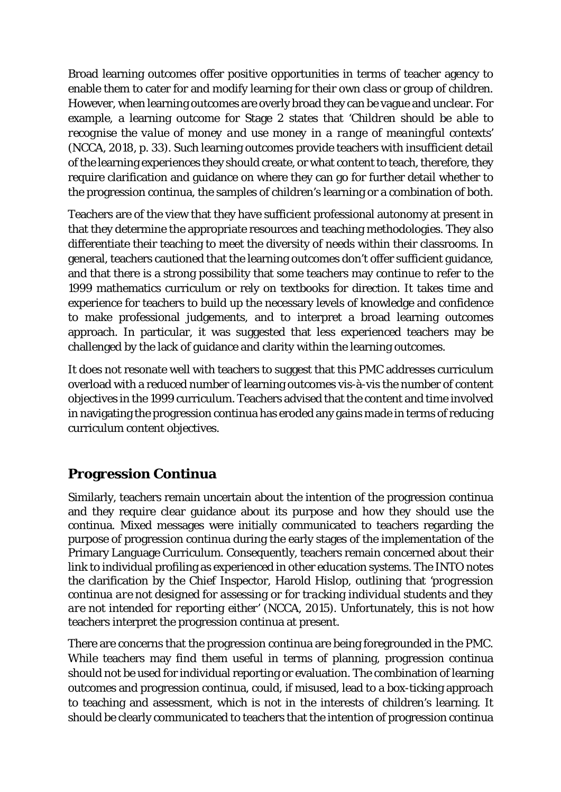Broad learning outcomes offer positive opportunities in terms of teacher agency to enable them to cater for and modify learning for their own class or group of children. However, when learning outcomes are overly broad they can be vague and unclear. For example, a learning outcome for Stage 2 states that '*Children should be able to recognise the value of money and use money in a range of meaningful contexts'* (NCCA, 2018, p. 33). Such learning outcomes provide teachers with insufficient detail of the learning experiences they should create, or what content to teach, therefore, they require clarification and guidance on where they can go for further detail whether to the progression continua, the samples of children's learning or a combination of both.

Teachers are of the view that they have sufficient professional autonomy at present in that they determine the appropriate resources and teaching methodologies. They also differentiate their teaching to meet the diversity of needs within their classrooms. In general, teachers cautioned that the learning outcomes don't offer sufficient guidance, and that there is a strong possibility that some teachers may continue to refer to the 1999 mathematics curriculum or rely on textbooks for direction. It takes time and experience for teachers to build up the necessary levels of knowledge and confidence to make professional judgements, and to interpret a broad learning outcomes approach. In particular, it was suggested that less experienced teachers may be challenged by the lack of guidance and clarity within the learning outcomes.

It does not resonate well with teachers to suggest that this PMC addresses curriculum overload with a reduced number of learning outcomes vis-à-vis the number of content objectives in the 1999 curriculum. Teachers advised that the content and time involved in navigating the progression continua has eroded any gains made in terms of reducing curriculum content objectives.

## **Progression Continua**

Similarly, teachers remain uncertain about the intention of the progression continua and they require clear guidance about its purpose and how they should use the continua. Mixed messages were initially communicated to teachers regarding the purpose of progression continua during the early stages of the implementation of the Primary Language Curriculum. Consequently, teachers remain concerned about their link to individual profiling as experienced in other education systems. The INTO notes the clarification by the Chief Inspector, Harold Hislop, outlining that *'progression continua are not designed for assessing or for tracking individual students and they are not intended for reporting either' (NCCA, 2015).* Unfortunately, this is not how teachers interpret the progression continua at present.

There are concerns that the progression continua are being foregrounded in the PMC. While teachers may find them useful in terms of planning, progression continua should not be used for individual reporting or evaluation. The combination of learning outcomes and progression continua, could, if misused, lead to a box-ticking approach to teaching and assessment, which is not in the interests of children's learning. It should be clearly communicated to teachers that the intention of progression continua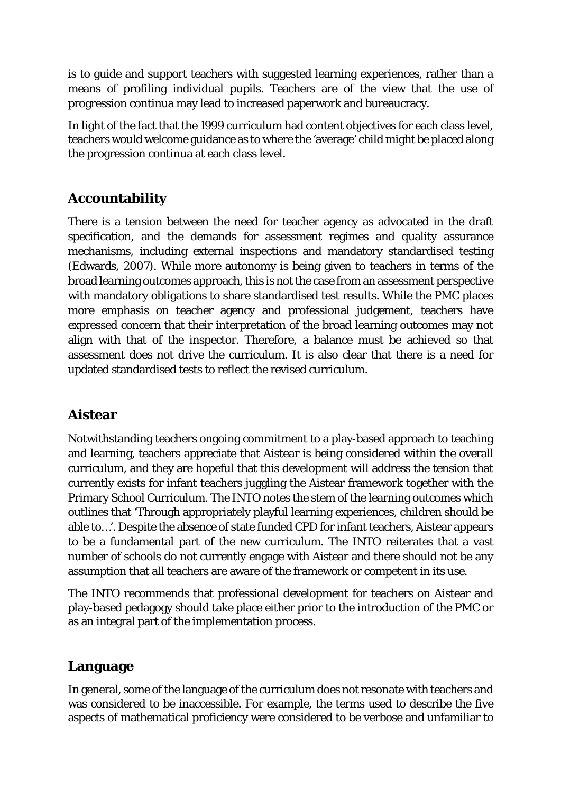is to guide and support teachers with suggested learning experiences, rather than a means of profiling individual pupils. Teachers are of the view that the use of progression continua may lead to increased paperwork and bureaucracy.

In light of the fact that the 1999 curriculum had content objectives for each class level, teachers would welcome guidance as to where the 'average' child might be placed along the progression continua at each class level.

# **Accountability**

There is a tension between the need for teacher agency as advocated in the draft specification, and the demands for assessment regimes and quality assurance mechanisms, including external inspections and mandatory standardised testing (Edwards, 2007). While more autonomy is being given to teachers in terms of the broad learning outcomes approach, this is not the case from an assessment perspective with mandatory obligations to share standardised test results. While the PMC places more emphasis on teacher agency and professional judgement, teachers have expressed concern that their interpretation of the broad learning outcomes may not align with that of the inspector. Therefore, a balance must be achieved so that assessment does not drive the curriculum. It is also clear that there is a need for updated standardised tests to reflect the revised curriculum.

## **Aistear**

Notwithstanding teachers ongoing commitment to a play-based approach to teaching and learning, teachers appreciate that Aistear is being considered within the overall curriculum, and they are hopeful that this development will address the tension that currently exists for infant teachers juggling the Aistear framework together with the Primary School Curriculum. The INTO notes the stem of the learning outcomes which outlines that 'Through appropriately playful learning experiences, children should be able to…'. Despite the absence of state funded CPD for infant teachers, Aistear appears to be a fundamental part of the new curriculum. The INTO reiterates that a vast number of schools do not currently engage with Aistear and there should not be any assumption that all teachers are aware of the framework or competent in its use.

The INTO recommends that professional development for teachers on Aistear and play-based pedagogy should take place either prior to the introduction of the PMC or as an integral part of the implementation process.

## **Language**

In general, some of the language of the curriculum does not resonate with teachers and was considered to be inaccessible. For example, the terms used to describe the five aspects of mathematical proficiency were considered to be verbose and unfamiliar to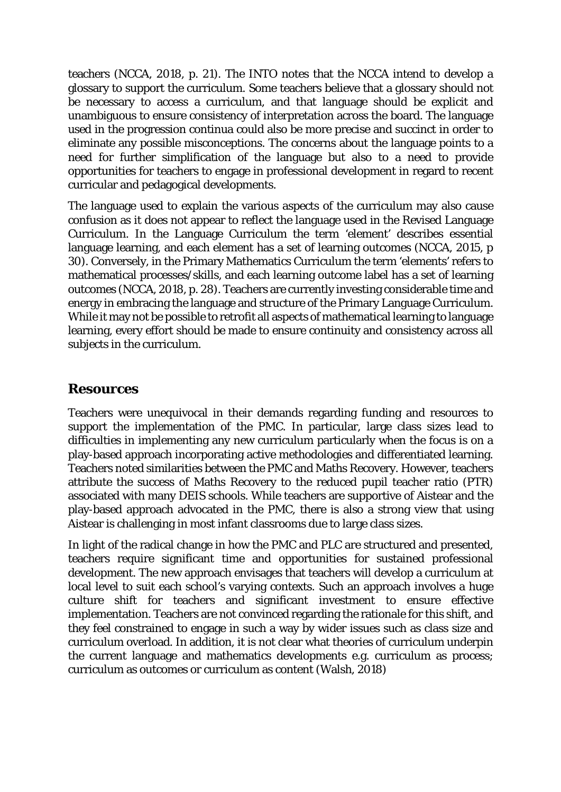teachers (NCCA, 2018, p. 21). The INTO notes that the NCCA intend to develop a glossary to support the curriculum. Some teachers believe that a glossary should not be necessary to access a curriculum, and that language should be explicit and unambiguous to ensure consistency of interpretation across the board. The language used in the progression continua could also be more precise and succinct in order to eliminate any possible misconceptions. The concerns about the language points to a need for further simplification of the language but also to a need to provide opportunities for teachers to engage in professional development in regard to recent curricular and pedagogical developments.

The language used to explain the various aspects of the curriculum may also cause confusion as it does not appear to reflect the language used in the Revised Language Curriculum. In the Language Curriculum the term 'element' describes essential language learning, and each element has a set of learning outcomes (NCCA, 2015, p 30). Conversely, in the Primary Mathematics Curriculum the term 'elements' refers to mathematical processes/skills, and each learning outcome label has a set of learning outcomes (NCCA, 2018, p. 28). Teachers are currently investing considerable time and energy in embracing the language and structure of the Primary Language Curriculum. While it may not be possible to retrofit all aspects of mathematical learning to language learning, every effort should be made to ensure continuity and consistency across all subjects in the curriculum.

#### **Resources**

Teachers were unequivocal in their demands regarding funding and resources to support the implementation of the PMC. In particular, large class sizes lead to difficulties in implementing any new curriculum particularly when the focus is on a play-based approach incorporating active methodologies and differentiated learning. Teachers noted similarities between the PMC and Maths Recovery. However, teachers attribute the success of Maths Recovery to the reduced pupil teacher ratio (PTR) associated with many DEIS schools. While teachers are supportive of Aistear and the play-based approach advocated in the PMC, there is also a strong view that using Aistear is challenging in most infant classrooms due to large class sizes.

In light of the radical change in how the PMC and PLC are structured and presented, teachers require significant time and opportunities for sustained professional development. The new approach envisages that teachers will develop a curriculum at local level to suit each school's varying contexts. Such an approach involves a huge culture shift for teachers and significant investment to ensure effective implementation. Teachers are not convinced regarding the rationale for this shift, and they feel constrained to engage in such a way by wider issues such as class size and curriculum overload. In addition, it is not clear what theories of curriculum underpin the current language and mathematics developments e.g. curriculum as process; curriculum as outcomes or curriculum as content (Walsh, 2018)